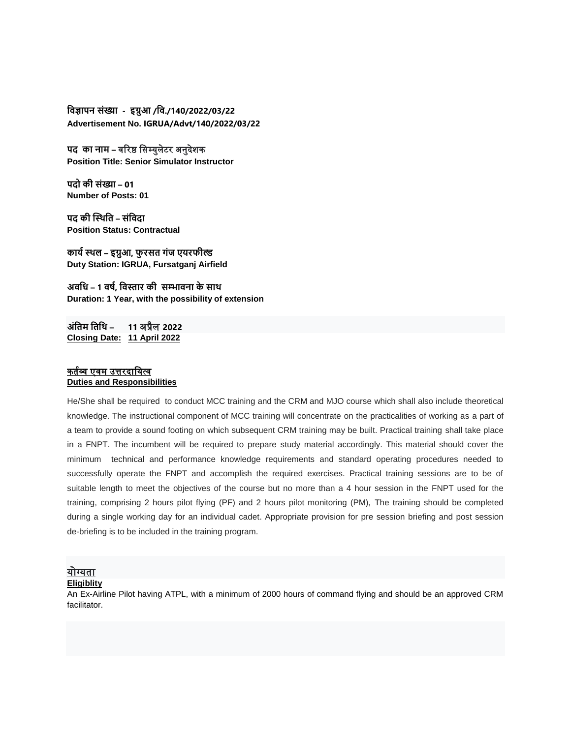**विज्ञापन संख्या - इग्रुआ /वि./140/2022/03/22 Advertisement No. IGRUA/Advt/140/2022/03/22**

**पद का नाम –** वरिष्ठ सिम्युलेटि अनुदेशक **Position Title: Senior Simulator Instructor**

**पदो की संख्या – 01 Number of Posts: 01** 

**पद की स्थिवि – संविदा Position Status: Contractual**

**कार्य थिल – इग्रुआ, फु रसि गंज एर्रफील्ड Duty Station: IGRUA, Fursatganj Airfield**

**अिवि – 1 िर्य, विस्तार की सम्भािना के साि Duration: 1 Year, with the possibility of extension**

**अंविम विवि – 11** अप्रैल **2022 Closing Date: 11 April 2022**

### कर्तव्य एवम उत्तरदायित्व **Duties and Responsibilities**

He/She shall be required to conduct MCC training and the CRM and MJO course which shall also include theoretical knowledge. The instructional component of MCC training will concentrate on the practicalities of working as a part of a team to provide a sound footing on which subsequent CRM training may be built. Practical training shall take place in a FNPT. The incumbent will be required to prepare study material accordingly. This material should cover the minimum technical and performance knowledge requirements and standard operating procedures needed to successfully operate the FNPT and accomplish the required exercises. Practical training sessions are to be of suitable length to meet the objectives of the course but no more than a 4 hour session in the FNPT used for the training, comprising 2 hours pilot flying (PF) and 2 hours pilot monitoring (PM), The training should be completed during a single working day for an individual cadet. Appropriate provision for pre session briefing and post session de-briefing is to be included in the training program.

## योग्यर्ा

#### **Eligiblity**

An Ex-Airline Pilot having ATPL, with a minimum of 2000 hours of command flying and should be an approved CRM facilitator.